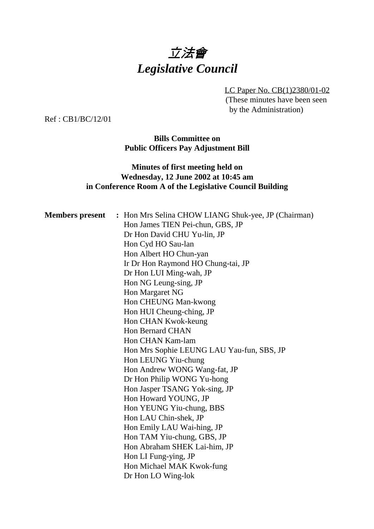

LC Paper No. CB(1)2380/01-02 (These minutes have been seen by the Administration)

Ref : CB1/BC/12/01

**Bills Committee on Public Officers Pay Adjustment Bill**

### **Minutes of first meeting held on Wednesday, 12 June 2002 at 10:45 am in Conference Room A of the Legislative Council Building**

| <b>Members</b> present | : Hon Mrs Selina CHOW LIANG Shuk-yee, JP (Chairman) |
|------------------------|-----------------------------------------------------|
|                        | Hon James TIEN Pei-chun, GBS, JP                    |
|                        | Dr Hon David CHU Yu-lin, JP                         |
|                        | Hon Cyd HO Sau-lan                                  |
|                        | Hon Albert HO Chun-yan                              |
|                        | Ir Dr Hon Raymond HO Chung-tai, JP                  |
|                        | Dr Hon LUI Ming-wah, JP                             |
|                        | Hon NG Leung-sing, JP                               |
|                        | Hon Margaret NG                                     |
|                        | Hon CHEUNG Man-kwong                                |
|                        | Hon HUI Cheung-ching, JP                            |
|                        | Hon CHAN Kwok-keung                                 |
|                        | <b>Hon Bernard CHAN</b>                             |
|                        | Hon CHAN Kam-lam                                    |
|                        | Hon Mrs Sophie LEUNG LAU Yau-fun, SBS, JP           |
|                        | Hon LEUNG Yiu-chung                                 |
|                        | Hon Andrew WONG Wang-fat, JP                        |
|                        | Dr Hon Philip WONG Yu-hong                          |
|                        | Hon Jasper TSANG Yok-sing, JP                       |
|                        | Hon Howard YOUNG, JP                                |
|                        | Hon YEUNG Yiu-chung, BBS                            |
|                        | Hon LAU Chin-shek, JP                               |
|                        | Hon Emily LAU Wai-hing, JP                          |
|                        | Hon TAM Yiu-chung, GBS, JP                          |
|                        | Hon Abraham SHEK Lai-him, JP                        |
|                        | Hon LI Fung-ying, JP                                |
|                        | Hon Michael MAK Kwok-fung                           |
|                        | Dr Hon LO Wing-lok                                  |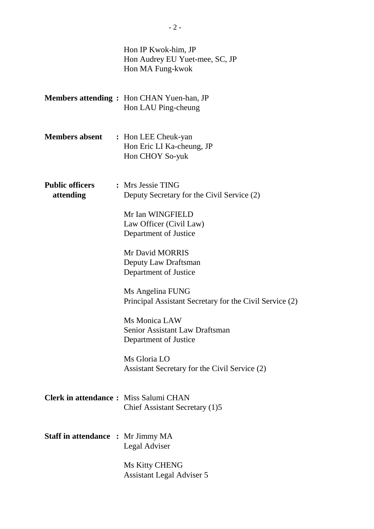|                                              | Hon IP Kwok-him, JP<br>Hon Audrey EU Yuet-mee, SC, JP<br>Hon MA Fung-kwok       |
|----------------------------------------------|---------------------------------------------------------------------------------|
|                                              | <b>Members attending:</b> Hon CHAN Yuen-han, JP<br>Hon LAU Ping-cheung          |
| <b>Members absent</b>                        | : Hon LEE Cheuk-yan<br>Hon Eric LI Ka-cheung, JP<br>Hon CHOY So-yuk             |
| <b>Public officers</b><br>attending          | : Mrs Jessie TING<br>Deputy Secretary for the Civil Service (2)                 |
|                                              | Mr Ian WINGFIELD<br>Law Officer (Civil Law)<br>Department of Justice            |
|                                              | Mr David MORRIS<br>Deputy Law Draftsman<br>Department of Justice                |
|                                              | Ms Angelina FUNG<br>Principal Assistant Secretary for the Civil Service (2)     |
|                                              | Ms Monica LAW<br><b>Senior Assistant Law Draftsman</b><br>Department of Justice |
|                                              | Ms Gloria LO<br>Assistant Secretary for the Civil Service (2)                   |
| <b>Clerk in attendance:</b> Miss Salumi CHAN | Chief Assistant Secretary (1)5                                                  |
| <b>Staff in attendance : Mr Jimmy MA</b>     | Legal Adviser                                                                   |
|                                              | Ms Kitty CHENG<br><b>Assistant Legal Adviser 5</b>                              |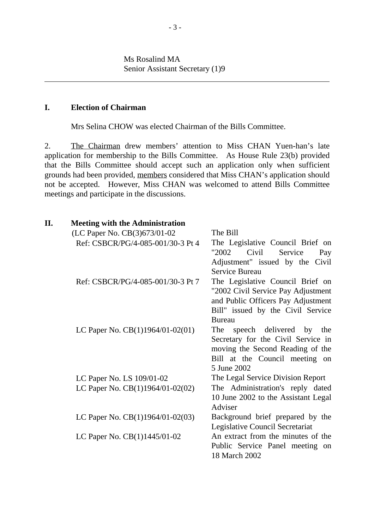Ms Rosalind MA Senior Assistant Secretary (1)9

#### **I. Election of Chairman**

ı

Mrs Selina CHOW was elected Chairman of the Bills Committee.

2. The Chairman drew members' attention to Miss CHAN Yuen-han's late application for membership to the Bills Committee. As House Rule 23(b) provided that the Bills Committee should accept such an application only when sufficient grounds had been provided, members considered that Miss CHAN's application should not be accepted. However, Miss CHAN was welcomed to attend Bills Committee meetings and participate in the discussions.

| Η. | <b>Meeting with the Administration</b>                                |                                                   |
|----|-----------------------------------------------------------------------|---------------------------------------------------|
|    | (LC Paper No. CB(3)673/01-02                                          | — The Bill                                        |
|    | Ref: CSBCR/PG/4-085-001/30-3 Pt 4 — The Legislative Council Brief on  |                                                   |
|    |                                                                       | "2002<br>Civil<br>Service<br>Pay                  |
|    |                                                                       | Adjustment" issued by the Civil<br>Service Bureau |
|    | Ref: CSBCR/PG/4-085-001/30-3 Pt 7 — The Legislative Council Brief on  |                                                   |
|    |                                                                       | "2002 Civil Service Pay Adjustment                |
|    |                                                                       | and Public Officers Pay Adjustment                |
|    |                                                                       | Bill" issued by the Civil Service                 |
|    |                                                                       | <b>Bureau</b>                                     |
|    | LC Paper No. $CB(1)1964/01-02(01)$ —                                  | The speech delivered by the                       |
|    |                                                                       | Secretary for the Civil Service in                |
|    |                                                                       | moving the Second Reading of the                  |
|    |                                                                       | Bill at the Council meeting on                    |
|    |                                                                       | 5 June 2002                                       |
|    | LC Paper No. LS 109/01-02                                             | — The Legal Service Division Report               |
|    | LC Paper No. $CB(1)1964/01-02(02)$ The Administration's reply dated   |                                                   |
|    |                                                                       | 10 June 2002 to the Assistant Legal               |
|    |                                                                       | Adviser                                           |
|    | LC Paper No. $CB(1)1964/01-02(03)$ - Background brief prepared by the |                                                   |
|    |                                                                       | Legislative Council Secretariat                   |
|    | LC Paper No. CB(1)1445/01-02                                          | An extract from the minutes of the                |
|    |                                                                       | Public Service Panel meeting on                   |
|    |                                                                       | 18 March 2002                                     |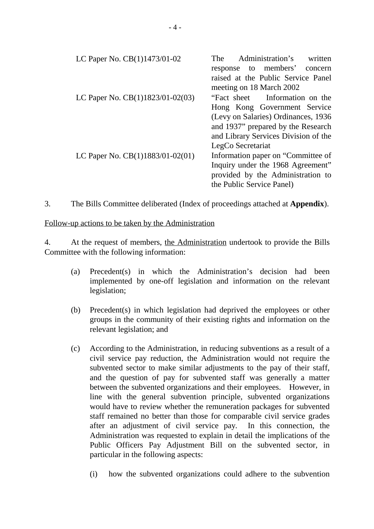| LC Paper No. CB(1)1473/01-02         | The Administration's written<br>response to members' concern   |
|--------------------------------------|----------------------------------------------------------------|
|                                      | raised at the Public Service Panel<br>meeting on 18 March 2002 |
| LC Paper No. $CB(1)1823/01-02(03)$ — | "Fact sheet — Information on the                               |
|                                      | Hong Kong Government Service                                   |
|                                      | (Levy on Salaries) Ordinances, 1936                            |
|                                      | and 1937" prepared by the Research                             |
|                                      | and Library Services Division of the                           |
|                                      | LegCo Secretariat                                              |
| LC Paper No. $CB(1)1883/01-02(01)$ — | Information paper on "Committee of                             |
|                                      | Inquiry under the 1968 Agreement"                              |
|                                      | provided by the Administration to                              |
|                                      | the Public Service Panel)                                      |

3. The Bills Committee deliberated (Index of proceedings attached at **Appendix**).

Follow-up actions to be taken by the Administration

4. At the request of members, the Administration undertook to provide the Bills Committee with the following information:

- (a) Precedent(s) in which the Administration's decision had been implemented by one-off legislation and information on the relevant legislation;
- (b) Precedent(s) in which legislation had deprived the employees or other groups in the community of their existing rights and information on the relevant legislation; and
- (c) According to the Administration, in reducing subventions as a result of a civil service pay reduction, the Administration would not require the subvented sector to make similar adjustments to the pay of their staff, and the question of pay for subvented staff was generally a matter between the subvented organizations and their employees. However, in line with the general subvention principle, subvented organizations would have to review whether the remuneration packages for subvented staff remained no better than those for comparable civil service grades after an adjustment of civil service pay. In this connection, the Administration was requested to explain in detail the implications of the Public Officers Pay Adjustment Bill on the subvented sector, in particular in the following aspects:
	- (i) how the subvented organizations could adhere to the subvention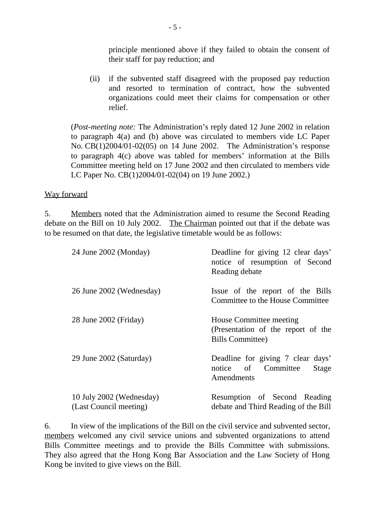principle mentioned above if they failed to obtain the consent of their staff for pay reduction; and

(ii) if the subvented staff disagreed with the proposed pay reduction and resorted to termination of contract, how the subvented organizations could meet their claims for compensation or other relief.

(*Post-meeting note:* The Administration's reply dated 12 June 2002 in relation to paragraph 4(a) and (b) above was circulated to members vide LC Paper No. CB(1)2004/01-02(05) on 14 June 2002. The Administration's response to paragraph 4(c) above was tabled for members' information at the Bills Committee meeting held on 17 June 2002 and then circulated to members vide LC Paper No. CB(1)2004/01-02(04) on 19 June 2002.)

### Way forward

5. Members noted that the Administration aimed to resume the Second Reading debate on the Bill on 10 July 2002. The Chairman pointed out that if the debate was to be resumed on that date, the legislative timetable would be as follows:

| 24 June 2002 (Monday)                              | Deadline for giving 12 clear days'<br>notice of resumption of Second<br>Reading debate   |
|----------------------------------------------------|------------------------------------------------------------------------------------------|
| 26 June 2002 (Wednesday)                           | Issue of the report of the Bills<br>Committee to the House Committee                     |
| 28 June 2002 (Friday)                              | House Committee meeting<br>(Presentation of the report of the<br><b>Bills Committee)</b> |
| 29 June 2002 (Saturday)                            | Deadline for giving 7 clear days'<br>notice of Committee<br>Stage<br>Amendments          |
| 10 July 2002 (Wednesday)<br>(Last Council meeting) | Resumption of Second Reading<br>debate and Third Reading of the Bill                     |

6. In view of the implications of the Bill on the civil service and subvented sector, members welcomed any civil service unions and subvented organizations to attend Bills Committee meetings and to provide the Bills Committee with submissions. They also agreed that the Hong Kong Bar Association and the Law Society of Hong Kong be invited to give views on the Bill.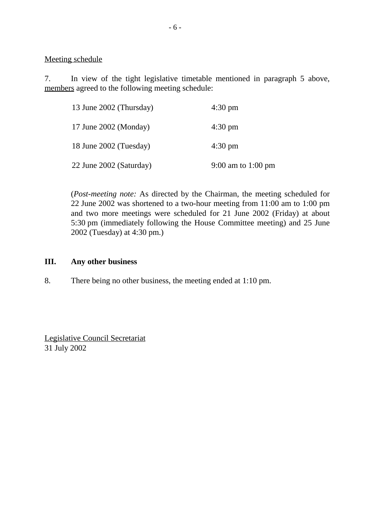Meeting schedule

7. In view of the tight legislative timetable mentioned in paragraph 5 above, members agreed to the following meeting schedule:

| 13 June 2002 (Thursday) | $4:30 \text{ pm}$  |
|-------------------------|--------------------|
| 17 June 2002 (Monday)   | $4:30 \text{ pm}$  |
| 18 June 2002 (Tuesday)  | $4:30 \text{ pm}$  |
| 22 June 2002 (Saturday) | 9:00 am to 1:00 pm |

(*Post-meeting note:* As directed by the Chairman, the meeting scheduled for 22 June 2002 was shortened to a two-hour meeting from 11:00 am to 1:00 pm and two more meetings were scheduled for 21 June 2002 (Friday) at about 5:30 pm (immediately following the House Committee meeting) and 25 June 2002 (Tuesday) at 4:30 pm.)

#### **III. Any other business**

8. There being no other business, the meeting ended at 1:10 pm.

Legislative Council Secretariat 31 July 2002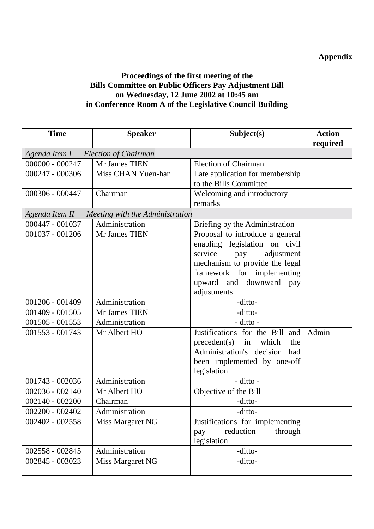# **Appendix**

# **Proceedings of the first meeting of the Bills Committee on Public Officers Pay Adjustment Bill on Wednesday, 12 June 2002 at 10:45 am in Conference Room A of the Legislative Council Building**

| <b>Time</b>                          | <b>Speaker</b>                                   | Subject(s)                        | <b>Action</b> |
|--------------------------------------|--------------------------------------------------|-----------------------------------|---------------|
|                                      |                                                  |                                   | required      |
| Agenda Item I — Election of Chairman |                                                  |                                   |               |
| $000000 - 000247$                    | Mr James TIEN                                    | <b>Election of Chairman</b>       |               |
| 000247 - 000306                      | Miss CHAN Yuen-han                               | Late application for membership   |               |
|                                      |                                                  | to the Bills Committee            |               |
| 000306 - 000447                      | Chairman                                         | Welcoming and introductory        |               |
|                                      |                                                  | remarks                           |               |
|                                      | Agenda Item II - Meeting with the Administration |                                   |               |
| 000447 - 001037                      | Administration                                   | Briefing by the Administration    |               |
| $001037 - 001206$                    | Mr James TIEN                                    | Proposal to introduce a general   |               |
|                                      |                                                  | enabling legislation on civil     |               |
|                                      |                                                  | service<br>adjustment<br>pay      |               |
|                                      |                                                  | mechanism to provide the legal    |               |
|                                      |                                                  | framework for implementing        |               |
|                                      |                                                  | upward and downward pay           |               |
|                                      |                                                  | adjustments                       |               |
| 001206 - 001409                      | Administration                                   | -ditto-                           |               |
| 001409 - 001505                      | Mr James TIEN                                    | -ditto-                           |               |
| 001505 - 001553                      | Administration                                   | - ditto -                         |               |
| 001553 - 001743                      | Mr Albert HO                                     | Justifications for the Bill and   | Admin         |
|                                      |                                                  | $precedent(s)$ in<br>which<br>the |               |
|                                      |                                                  | Administration's decision<br>had  |               |
|                                      |                                                  | been implemented by one-off       |               |
|                                      |                                                  | legislation                       |               |
| 001743 - 002036                      | Administration                                   | - ditto -                         |               |
| $002036 - 002140$                    | Mr Albert HO                                     | Objective of the Bill             |               |
| $002140 - 002200$                    | Chairman                                         | -ditto-                           |               |
| 002200 - 002402                      | Administration                                   | -ditto-                           |               |
| 002402 - 002558                      | Miss Margaret NG                                 | Justifications for implementing   |               |
|                                      |                                                  | through<br>reduction<br>pay       |               |
|                                      |                                                  | legislation                       |               |
| 002558 - 002845                      | Administration                                   | -ditto-                           |               |
| 002845 - 003023                      | Miss Margaret NG                                 | -ditto-                           |               |
|                                      |                                                  |                                   |               |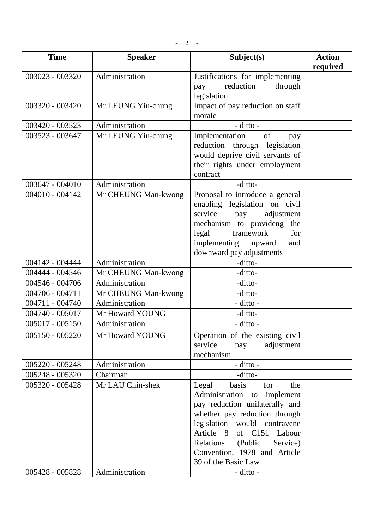$- 2 -$ 

| <b>Time</b>       | <b>Speaker</b>      | Subject(s)                                                                                                                                                                                                                                                                               | <b>Action</b><br>required |
|-------------------|---------------------|------------------------------------------------------------------------------------------------------------------------------------------------------------------------------------------------------------------------------------------------------------------------------------------|---------------------------|
| 003023 - 003320   | Administration      | Justifications for implementing<br>reduction<br>through<br>pay<br>legislation                                                                                                                                                                                                            |                           |
| 003320 - 003420   | Mr LEUNG Yiu-chung  | Impact of pay reduction on staff<br>morale                                                                                                                                                                                                                                               |                           |
| 003420 - 003523   | Administration      | $-$ ditto $-$                                                                                                                                                                                                                                                                            |                           |
| 003523 - 003647   | Mr LEUNG Yiu-chung  | Implementation<br>of<br>pay<br>reduction through legislation<br>would deprive civil servants of<br>their rights under employment<br>contract                                                                                                                                             |                           |
| 003647 - 004010   | Administration      | -ditto-                                                                                                                                                                                                                                                                                  |                           |
| $004010 - 004142$ | Mr CHEUNG Man-kwong | Proposal to introduce a general<br>enabling legislation on civil<br>service<br>adjustment<br>pay<br>mechanism to provideng<br>the<br>framework<br>for<br>legal<br>implementing<br>upward<br>and<br>downward pay adjustments                                                              |                           |
| 004142 - 004444   | Administration      | -ditto-                                                                                                                                                                                                                                                                                  |                           |
| 004444 - 004546   | Mr CHEUNG Man-kwong | -ditto-                                                                                                                                                                                                                                                                                  |                           |
| 004546 - 004706   | Administration      | -ditto-                                                                                                                                                                                                                                                                                  |                           |
| $004706 - 004711$ | Mr CHEUNG Man-kwong | -ditto-                                                                                                                                                                                                                                                                                  |                           |
| 004711 - 004740   | Administration      | - ditto -                                                                                                                                                                                                                                                                                |                           |
| 004740 - 005017   | Mr Howard YOUNG     | -ditto-                                                                                                                                                                                                                                                                                  |                           |
| $005017 - 005150$ | Administration      | - ditto -                                                                                                                                                                                                                                                                                |                           |
| 005150 - 005220   | Mr Howard YOUNG     | Operation of the existing civil<br>service<br>adjustment<br>pay<br>mechanism                                                                                                                                                                                                             |                           |
| 005220 - 005248   | Administration      | - ditto -                                                                                                                                                                                                                                                                                |                           |
| 005248 - 005320   | Chairman            | -ditto-                                                                                                                                                                                                                                                                                  |                           |
| 005320 - 005428   | Mr LAU Chin-shek    | basis<br>for<br>Legal<br>the<br>Administration to implement<br>pay reduction unilaterally and<br>whether pay reduction through<br>legislation would contravene<br>Article 8<br>of C151 Labour<br>(Public<br>Relations<br>Service)<br>Convention, 1978 and Article<br>39 of the Basic Law |                           |
| 005428 - 005828   | Administration      | - ditto -                                                                                                                                                                                                                                                                                |                           |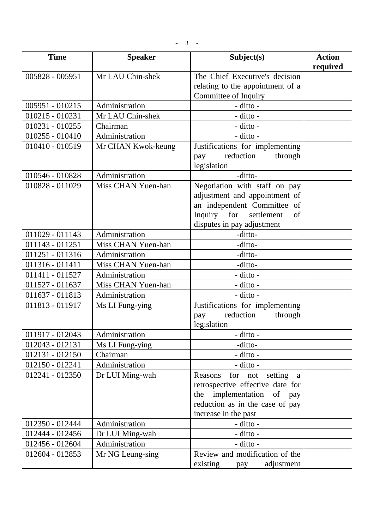| <b>Time</b>       | <b>Speaker</b>     | Subject(s)                                                                                                                                                                   | <b>Action</b><br>required |
|-------------------|--------------------|------------------------------------------------------------------------------------------------------------------------------------------------------------------------------|---------------------------|
| 005828 - 005951   | Mr LAU Chin-shek   | The Chief Executive's decision<br>relating to the appointment of a<br>Committee of Inquiry                                                                                   |                           |
| $005951 - 010215$ | Administration     | - ditto -                                                                                                                                                                    |                           |
| $010215 - 010231$ | Mr LAU Chin-shek   | - ditto -                                                                                                                                                                    |                           |
| $010231 - 010255$ | Chairman           | - ditto -                                                                                                                                                                    |                           |
| $010255 - 010410$ | Administration     | - ditto -                                                                                                                                                                    |                           |
| 010410 - 010519   | Mr CHAN Kwok-keung | Justifications for implementing<br>reduction<br>through<br>pay<br>legislation                                                                                                |                           |
| 010546 - 010828   | Administration     | -ditto-                                                                                                                                                                      |                           |
| 010828 - 011029   | Miss CHAN Yuen-han | Negotiation with staff on pay<br>adjustment and appointment of<br>an independent Committee of<br>Inquiry<br>for<br>settlement<br>of<br>disputes in pay adjustment            |                           |
| 011029 - 011143   | Administration     | -ditto-                                                                                                                                                                      |                           |
| 011143 - 011251   | Miss CHAN Yuen-han | -ditto-                                                                                                                                                                      |                           |
| 011251 - 011316   | Administration     | -ditto-                                                                                                                                                                      |                           |
| 011316 - 011411   | Miss CHAN Yuen-han | -ditto-                                                                                                                                                                      |                           |
| 011411 - 011527   | Administration     | - ditto -                                                                                                                                                                    |                           |
| 011527 - 011637   | Miss CHAN Yuen-han | - ditto -                                                                                                                                                                    |                           |
| 011637 - 011813   | Administration     | - ditto -                                                                                                                                                                    |                           |
| 011813 - 011917   | Ms LI Fung-ying    | Justifications for implementing<br>reduction<br>through<br>pay<br>legislation                                                                                                |                           |
| 011917 - 012043   | Administration     | - ditto -                                                                                                                                                                    |                           |
| 012043 - 012131   | Ms LI Fung-ying    | -ditto-                                                                                                                                                                      |                           |
| $012131 - 012150$ | Chairman           | - ditto -                                                                                                                                                                    |                           |
| 012150 - 012241   | Administration     | - ditto -                                                                                                                                                                    |                           |
| 012241 - 012350   | Dr LUI Ming-wah    | Reasons<br>for not<br>setting<br><sub>a</sub><br>retrospective effective date for<br>implementation of pay<br>the<br>reduction as in the case of pay<br>increase in the past |                           |
| 012350 - 012444   | Administration     | - ditto -                                                                                                                                                                    |                           |
| 012444 - 012456   | Dr LUI Ming-wah    | - ditto -                                                                                                                                                                    |                           |
| 012456 - 012604   | Administration     | - ditto -                                                                                                                                                                    |                           |
| 012604 - 012853   | Mr NG Leung-sing   | Review and modification of the<br>adjustment<br>existing<br>pay                                                                                                              |                           |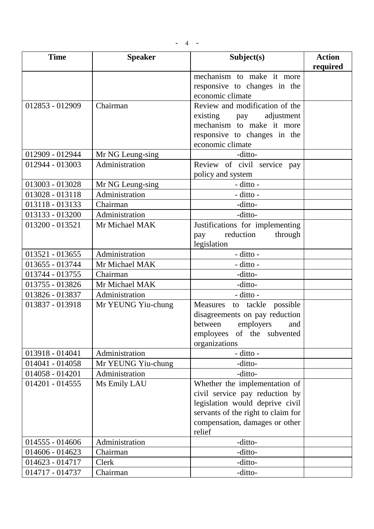$- 4 - -$ 

| <b>Time</b>       | <b>Speaker</b>     | Subject(s)                         | <b>Action</b> |
|-------------------|--------------------|------------------------------------|---------------|
|                   |                    |                                    | required      |
|                   |                    | mechanism to make it more          |               |
|                   |                    | responsive to changes in the       |               |
|                   |                    | economic climate                   |               |
| 012853 - 012909   | Chairman           | Review and modification of the     |               |
|                   |                    | existing<br>adjustment<br>pay      |               |
|                   |                    | mechanism to make it more          |               |
|                   |                    | responsive to changes in the       |               |
|                   |                    | economic climate                   |               |
| 012909 - 012944   | Mr NG Leung-sing   | -ditto-                            |               |
| 012944 - 013003   | Administration     | Review of civil service pay        |               |
|                   |                    | policy and system                  |               |
| 013003 - 013028   | Mr NG Leung-sing   | - ditto -                          |               |
| 013028 - 013118   | Administration     | - ditto -                          |               |
| 013118 - 013133   | Chairman           | -ditto-                            |               |
| 013133 - 013200   | Administration     | -ditto-                            |               |
| 013200 - 013521   | Mr Michael MAK     | Justifications for implementing    |               |
|                   |                    | reduction<br>through<br>pay        |               |
|                   |                    | legislation                        |               |
| 013521 - 013655   | Administration     | - ditto -                          |               |
| 013655 - 013744   | Mr Michael MAK     | - ditto -                          |               |
| 013744 - 013755   | Chairman           | -ditto-                            |               |
| 013755 - 013826   | Mr Michael MAK     | -ditto-                            |               |
| 013826 - 013837   | Administration     | - ditto -                          |               |
| 013837 - 013918   | Mr YEUNG Yiu-chung | to tackle possible<br>Measures     |               |
|                   |                    | disagreements on pay reduction     |               |
|                   |                    | between<br>employers<br>and        |               |
|                   |                    | employees of the subvented         |               |
|                   |                    | organizations                      |               |
| 013918 - 014041   | Administration     | - ditto -                          |               |
| 014041 - 014058   | Mr YEUNG Yiu-chung | -ditto-                            |               |
| 014058 - 014201   | Administration     | -ditto-                            |               |
| $014201 - 014555$ | Ms Emily LAU       | Whether the implementation of      |               |
|                   |                    | civil service pay reduction by     |               |
|                   |                    | legislation would deprive civil    |               |
|                   |                    | servants of the right to claim for |               |
|                   |                    | compensation, damages or other     |               |
|                   |                    | relief                             |               |
| $014555 - 014606$ | Administration     | -ditto-                            |               |
| 014606 - 014623   | Chairman           | -ditto-                            |               |
| $014623 - 014717$ | Clerk              | -ditto-                            |               |
| 014717 - 014737   | Chairman           | -ditto-                            |               |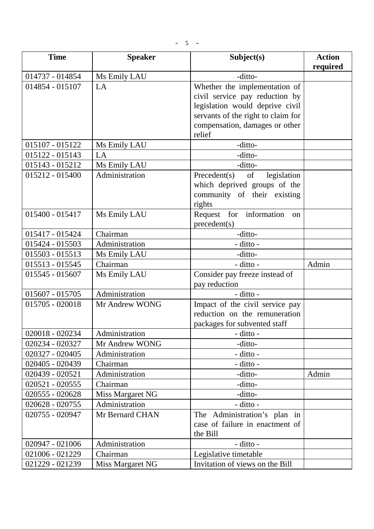$- 5 -$ 

| <b>Time</b>       | <b>Speaker</b>   | Subject(s)                         | <b>Action</b><br>required |
|-------------------|------------------|------------------------------------|---------------------------|
| 014737 - 014854   | Ms Emily LAU     | -ditto-                            |                           |
| 014854 - 015107   | LA               | Whether the implementation of      |                           |
|                   |                  | civil service pay reduction by     |                           |
|                   |                  | legislation would deprive civil    |                           |
|                   |                  | servants of the right to claim for |                           |
|                   |                  | compensation, damages or other     |                           |
|                   |                  | relief                             |                           |
| 015107 - 015122   | Ms Emily LAU     | -ditto-                            |                           |
| 015122 - 015143   | LA               | -ditto-                            |                           |
| 015143 - 015212   | Ms Emily LAU     | -ditto-                            |                           |
| $015212 - 015400$ | Administration   | Precedent(s)<br>legislation<br>of  |                           |
|                   |                  | which deprived groups of the       |                           |
|                   |                  | community of their existing        |                           |
|                   |                  | rights                             |                           |
| 015400 - 015417   | Ms Emily LAU     | Request for information<br>on      |                           |
|                   |                  | precedent(s)                       |                           |
| 015417 - 015424   | Chairman         | -ditto-                            |                           |
| 015424 - 015503   | Administration   | - ditto -                          |                           |
| 015503 - 015513   | Ms Emily LAU     | -ditto-                            |                           |
| $015513 - 015545$ | Chairman         | - ditto -                          | Admin                     |
| 015545 - 015607   | Ms Emily LAU     | Consider pay freeze instead of     |                           |
|                   |                  | pay reduction                      |                           |
| $015607 - 015705$ | Administration   | - ditto -                          |                           |
| $015705 - 020018$ | Mr Andrew WONG   | Impact of the civil service pay    |                           |
|                   |                  | reduction on the remuneration      |                           |
|                   |                  | packages for subvented staff       |                           |
| 020018 - 020234   | Administration   | - ditto -                          |                           |
| 020234 - 020327   | Mr Andrew WONG   | -ditto-                            |                           |
| 020327 - 020405   | Administration   | - ditto -                          |                           |
| 020405 - 020439   | Chairman         | - ditto -                          |                           |
| 020439 - 020521   | Administration   | -ditto-                            | Admin                     |
| $020521 - 020555$ | Chairman         | -ditto-                            |                           |
| 020555 - 020628   | Miss Margaret NG | -ditto-                            |                           |
| 020628 - 020755   | Administration   | - ditto -                          |                           |
| 020755 - 020947   | Mr Bernard CHAN  | The Administration's plan in       |                           |
|                   |                  | case of failure in enactment of    |                           |
|                   |                  | the Bill                           |                           |
| 020947 - 021006   | Administration   | - ditto -                          |                           |
| 021006 - 021229   | Chairman         | Legislative timetable              |                           |
| 021229 - 021239   | Miss Margaret NG | Invitation of views on the Bill    |                           |